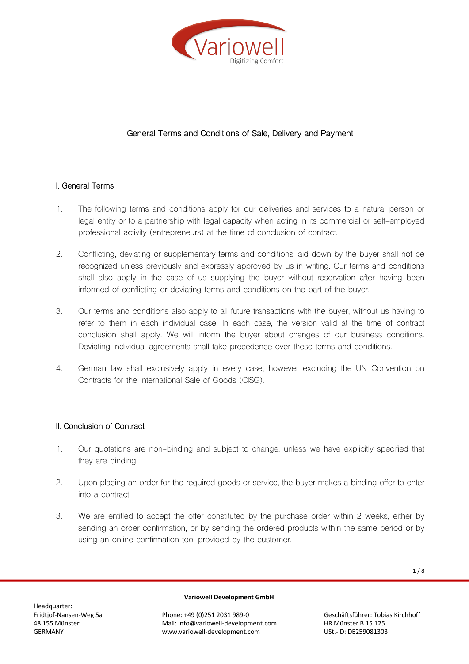

# **General Terms and Conditions of Sale, Delivery and Payment**

### **I. General Terms**

- 1. The following terms and conditions apply for our deliveries and services to a natural person or legal entity or to a partnership with legal capacity when acting in its commercial or self-employed professional activity (entrepreneurs) at the time of conclusion of contract.
- 2. Conflicting, deviating or supplementary terms and conditions laid down by the buyer shall not be recognized unless previously and expressly approved by us in writing. Our terms and conditions shall also apply in the case of us supplying the buyer without reservation after having been informed of conflicting or deviating terms and conditions on the part of the buyer.
- 3. Our terms and conditions also apply to all future transactions with the buyer, without us having to refer to them in each individual case. In each case, the version valid at the time of contract conclusion shall apply. We will inform the buyer about changes of our business conditions. Deviating individual agreements shall take precedence over these terms and conditions.
- 4. German law shall exclusively apply in every case, however excluding the UN Convention on Contracts for the International Sale of Goods (CISG).

# **II. Conclusion of Contract**

- 1. Our quotations are non-binding and subject to change, unless we have explicitly specified that they are binding.
- 2. Upon placing an order for the required goods or service, the buyer makes a binding offer to enter into a contract.
- 3. We are entitled to accept the offer constituted by the purchase order within 2 weeks, either by sending an order confirmation, or by sending the ordered products within the same period or by using an online confirmation tool provided by the customer.

Headquarter:

### **Variowell Development GmbH**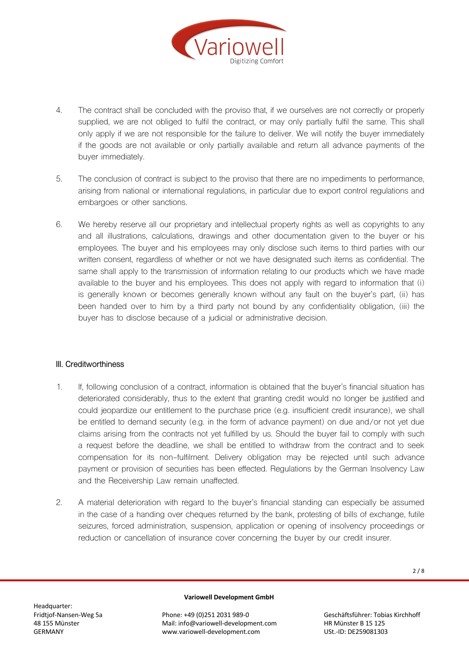

- 4. The contract shall be concluded with the proviso that, if we ourselves are not correctly or properly supplied, we are not obliged to fulfil the contract, or may only partially fulfil the same. This shall only apply if we are not responsible for the failure to deliver. We will notify the buyer immediately if the goods are not available or only partially available and return all advance payments of the buyer immediately.
- 5. The conclusion of contract is subject to the proviso that there are no impediments to performance, arising from national or international regulations, in particular due to export control regulations and embargoes or other sanctions.
- 6. We hereby reserve all our proprietary and intellectual property rights as well as copyrights to any and all illustrations, calculations, drawings and other documentation given to the buyer or his employees. The buyer and his employees may only disclose such items to third parties with our written consent, regardless of whether or not we have designated such items as confidential. The same shall apply to the transmission of information relating to our products which we have made available to the buyer and his employees. This does not apply with regard to information that (i) is generally known or becomes generally known without any fault on the buyer's part, (ii) has been handed over to him by a third party not bound by any confidentiality obligation, (iii) the buyer has to disclose because of a judicial or administrative decision.

### **III. Creditworthiness**

- 1. If, following conclusion of a contract, information is obtained that the buyer's financial situation has deteriorated considerably, thus to the extent that granting credit would no longer be justified and could jeopardize our entitlement to the purchase price (e.g. insufficient credit insurance), we shall be entitled to demand security (e.g. in the form of advance payment) on due and/or not yet due claims arising from the contracts not yet fulfilled by us. Should the buyer fail to comply with such a request before the deadline, we shall be entitled to withdraw from the contract and to seek compensation for its non-fulfilment. Delivery obligation may be rejected until such advance payment or provision of securities has been effected. Regulations by the German Insolvency Law and the Receivership Law remain unaffected.
- 2. A material deterioration with regard to the buyer's financial standing can especially be assumed in the case of a handing over cheques returned by the bank, protesting of bills of exchange, futile seizures, forced administration, suspension, application or opening of insolvency proceedings or reduction or cancellation of insurance cover concerning the buyer by our credit insurer.

Headquarter:

### **Variowell Development GmbH**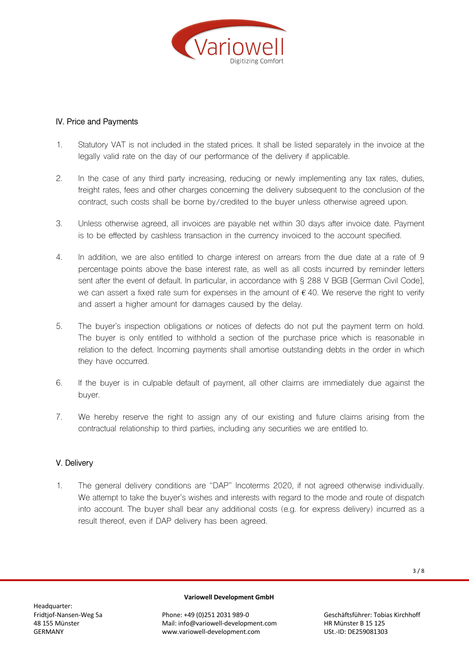

### **IV. Price and Payments**

- 1. Statutory VAT is not included in the stated prices. It shall be listed separately in the invoice at the legally valid rate on the day of our performance of the delivery if applicable.
- 2. In the case of any third party increasing, reducing or newly implementing any tax rates, duties, freight rates, fees and other charges concerning the delivery subsequent to the conclusion of the contract, such costs shall be borne by/credited to the buyer unless otherwise agreed upon.
- 3. Unless otherwise agreed, all invoices are payable net within 30 days after invoice date. Payment is to be effected by cashless transaction in the currency invoiced to the account specified.
- 4. In addition, we are also entitled to charge interest on arrears from the due date at a rate of 9 percentage points above the base interest rate, as well as all costs incurred by reminder letters sent after the event of default. In particular, in accordance with § 288 V BGB [German Civil Code], we can assert a fixed rate sum for expenses in the amount of  $\epsilon$  40. We reserve the right to verify and assert a higher amount for damages caused by the delay.
- 5. The buyer's inspection obligations or notices of defects do not put the payment term on hold. The buyer is only entitled to withhold a section of the purchase price which is reasonable in relation to the defect. Incoming payments shall amortise outstanding debts in the order in which they have occurred.
- 6. If the buyer is in culpable default of payment, all other claims are immediately due against the buyer.
- 7. We hereby reserve the right to assign any of our existing and future claims arising from the contractual relationship to third parties, including any securities we are entitled to.

### **V. Delivery**

1. The general delivery conditions are "DAP" Incoterms 2020, if not agreed otherwise individually. We attempt to take the buyer's wishes and interests with regard to the mode and route of dispatch into account. The buyer shall bear any additional costs (e.g. for express delivery) incurred as a result thereof, even if DAP delivery has been agreed.

#### **Variowell Development GmbH**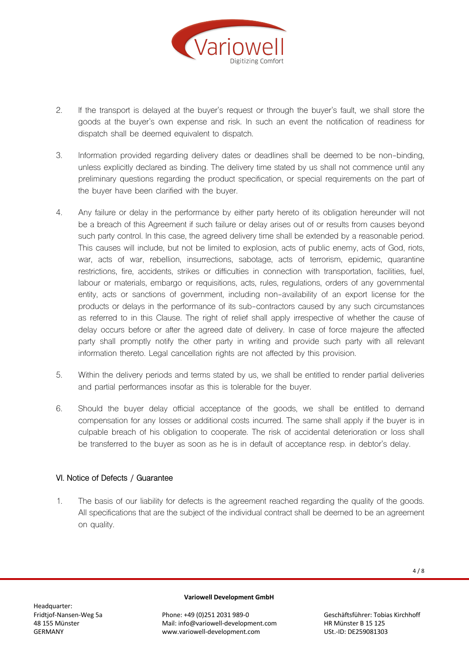

- 2. If the transport is delayed at the buyer's request or through the buyer's fault, we shall store the goods at the buyer's own expense and risk. In such an event the notification of readiness for dispatch shall be deemed equivalent to dispatch.
- 3. Information provided regarding delivery dates or deadlines shall be deemed to be non-binding, unless explicitly declared as binding. The delivery time stated by us shall not commence until any preliminary questions regarding the product specification, or special requirements on the part of the buyer have been clarified with the buyer.
- 4. Any failure or delay in the performance by either party hereto of its obligation hereunder will not be a breach of this Agreement if such failure or delay arises out of or results from causes beyond such party control. In this case, the agreed delivery time shall be extended by a reasonable period. This causes will include, but not be limited to explosion, acts of public enemy, acts of God, riots, war, acts of war, rebellion, insurrections, sabotage, acts of terrorism, epidemic, quarantine restrictions, fire, accidents, strikes or difficulties in connection with transportation, facilities, fuel, labour or materials, embargo or requisitions, acts, rules, regulations, orders of any governmental entity, acts or sanctions of government, including non-availability of an export license for the products or delays in the performance of its sub-contractors caused by any such circumstances as referred to in this Clause. The right of relief shall apply irrespective of whether the cause of delay occurs before or after the agreed date of delivery. In case of force majeure the affected party shall promptly notify the other party in writing and provide such party with all relevant information thereto. Legal cancellation rights are not affected by this provision.
- 5. Within the delivery periods and terms stated by us, we shall be entitled to render partial deliveries and partial performances insofar as this is tolerable for the buyer.
- 6. Should the buyer delay official acceptance of the goods, we shall be entitled to demand compensation for any losses or additional costs incurred. The same shall apply if the buyer is in culpable breach of his obligation to cooperate. The risk of accidental deterioration or loss shall be transferred to the buyer as soon as he is in default of acceptance resp. in debtor's delay.

# **VI. Notice of Defects / Guarantee**

1. The basis of our liability for defects is the agreement reached regarding the quality of the goods. All specifications that are the subject of the individual contract shall be deemed to be an agreement on quality.

Headquarter:

### **Variowell Development GmbH**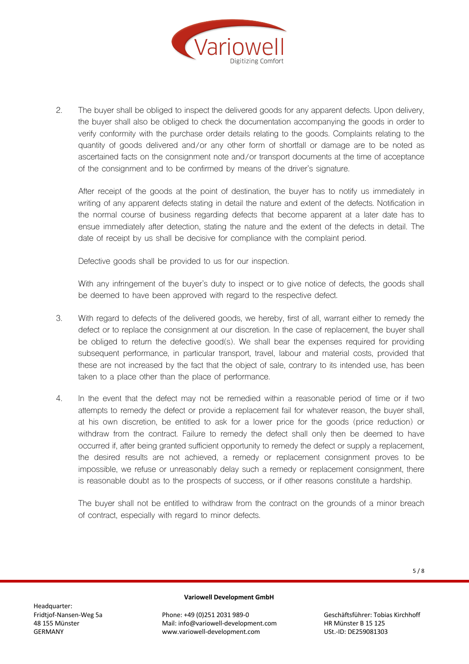

2. The buyer shall be obliged to inspect the delivered goods for any apparent defects. Upon delivery, the buyer shall also be obliged to check the documentation accompanying the goods in order to verify conformity with the purchase order details relating to the goods. Complaints relating to the quantity of goods delivered and/or any other form of shortfall or damage are to be noted as ascertained facts on the consignment note and/or transport documents at the time of acceptance of the consignment and to be confirmed by means of the driver's signature.

After receipt of the goods at the point of destination, the buyer has to notify us immediately in writing of any apparent defects stating in detail the nature and extent of the defects. Notification in the normal course of business regarding defects that become apparent at a later date has to ensue immediately after detection, stating the nature and the extent of the defects in detail. The date of receipt by us shall be decisive for compliance with the complaint period.

Defective goods shall be provided to us for our inspection.

With any infringement of the buyer's duty to inspect or to give notice of defects, the goods shall be deemed to have been approved with regard to the respective defect.

- 3. With regard to defects of the delivered goods, we hereby, first of all, warrant either to remedy the defect or to replace the consignment at our discretion. In the case of replacement, the buyer shall be obliged to return the defective good(s). We shall bear the expenses required for providing subsequent performance, in particular transport, travel, labour and material costs, provided that these are not increased by the fact that the object of sale, contrary to its intended use, has been taken to a place other than the place of performance.
- 4. In the event that the defect may not be remedied within a reasonable period of time or if two attempts to remedy the defect or provide a replacement fail for whatever reason, the buyer shall, at his own discretion, be entitled to ask for a lower price for the goods (price reduction) or withdraw from the contract. Failure to remedy the defect shall only then be deemed to have occurred if, after being granted sufficient opportunity to remedy the defect or supply a replacement, the desired results are not achieved, a remedy or replacement consignment proves to be impossible, we refuse or unreasonably delay such a remedy or replacement consignment, there is reasonable doubt as to the prospects of success, or if other reasons constitute a hardship.

The buyer shall not be entitled to withdraw from the contract on the grounds of a minor breach of contract, especially with regard to minor defects.

Headquarter:

### **Variowell Development GmbH**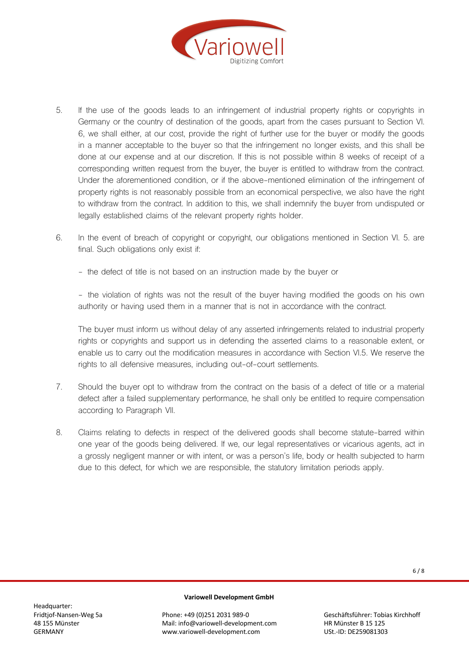

- 5. If the use of the goods leads to an infringement of industrial property rights or copyrights in Germany or the country of destination of the goods, apart from the cases pursuant to Section VI. 6, we shall either, at our cost, provide the right of further use for the buyer or modify the goods in a manner acceptable to the buyer so that the infringement no longer exists, and this shall be done at our expense and at our discretion. If this is not possible within 8 weeks of receipt of a corresponding written request from the buyer, the buyer is entitled to withdraw from the contract. Under the aforementioned condition, or if the above-mentioned elimination of the infringement of property rights is not reasonably possible from an economical perspective, we also have the right to withdraw from the contract. In addition to this, we shall indemnify the buyer from undisputed or legally established claims of the relevant property rights holder.
- 6. In the event of breach of copyright or copyright, our obligations mentioned in Section VI. 5. are final. Such obligations only exist if:
	- the defect of title is not based on an instruction made by the buyer or

- the violation of rights was not the result of the buyer having modified the goods on his own authority or having used them in a manner that is not in accordance with the contract.

The buyer must inform us without delay of any asserted infringements related to industrial property rights or copyrights and support us in defending the asserted claims to a reasonable extent, or enable us to carry out the modification measures in accordance with Section VI.5. We reserve the rights to all defensive measures, including out-of-court settlements.

- 7. Should the buyer opt to withdraw from the contract on the basis of a defect of title or a material defect after a failed supplementary performance, he shall only be entitled to require compensation according to Paragraph VII.
- 8. Claims relating to defects in respect of the delivered goods shall become statute-barred within one year of the goods being delivered. If we, our legal representatives or vicarious agents, act in a grossly negligent manner or with intent, or was a person's life, body or health subjected to harm due to this defect, for which we are responsible, the statutory limitation periods apply.

Headquarter:

### **Variowell Development GmbH**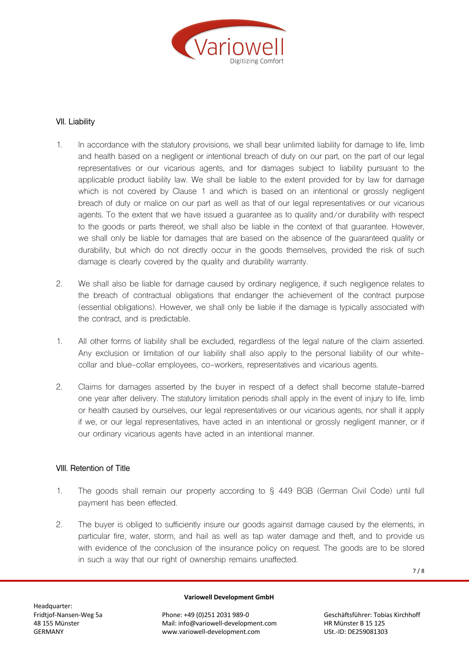

### **VII. Liability**

- 1. In accordance with the statutory provisions, we shall bear unlimited liability for damage to life, limb and health based on a negligent or intentional breach of duty on our part, on the part of our legal representatives or our vicarious agents, and for damages subject to liability pursuant to the applicable product liability law. We shall be liable to the extent provided for by law for damage which is not covered by Clause 1 and which is based on an intentional or grossly negligent breach of duty or malice on our part as well as that of our legal representatives or our vicarious agents. To the extent that we have issued a guarantee as to quality and/or durability with respect to the goods or parts thereof, we shall also be liable in the context of that guarantee. However, we shall only be liable for damages that are based on the absence of the guaranteed quality or durability, but which do not directly occur in the goods themselves, provided the risk of such damage is clearly covered by the quality and durability warranty.
- 2. We shall also be liable for damage caused by ordinary negligence, if such negligence relates to the breach of contractual obligations that endanger the achievement of the contract purpose (essential obligations). However, we shall only be liable if the damage is typically associated with the contract, and is predictable.
- 1. All other forms of liability shall be excluded, regardless of the legal nature of the claim asserted. Any exclusion or limitation of our liability shall also apply to the personal liability of our whitecollar and blue-collar employees, co-workers, representatives and vicarious agents.
- 2. Claims for damages asserted by the buyer in respect of a defect shall become statute-barred one year after delivery. The statutory limitation periods shall apply in the event of injury to life, limb or health caused by ourselves, our legal representatives or our vicarious agents, nor shall it apply if we, or our legal representatives, have acted in an intentional or grossly negligent manner, or if our ordinary vicarious agents have acted in an intentional manner.

# **VIII. Retention of Title**

- 1. The goods shall remain our property according to § 449 BGB (German Civil Code) until full payment has been effected.
- 2. The buyer is obliged to sufficiently insure our goods against damage caused by the elements, in particular fire, water, storm, and hail as well as tap water damage and theft, and to provide us with evidence of the conclusion of the insurance policy on request. The goods are to be stored in such a way that our right of ownership remains unaffected.

7 / 8

Headquarter:

### **Variowell Development GmbH**